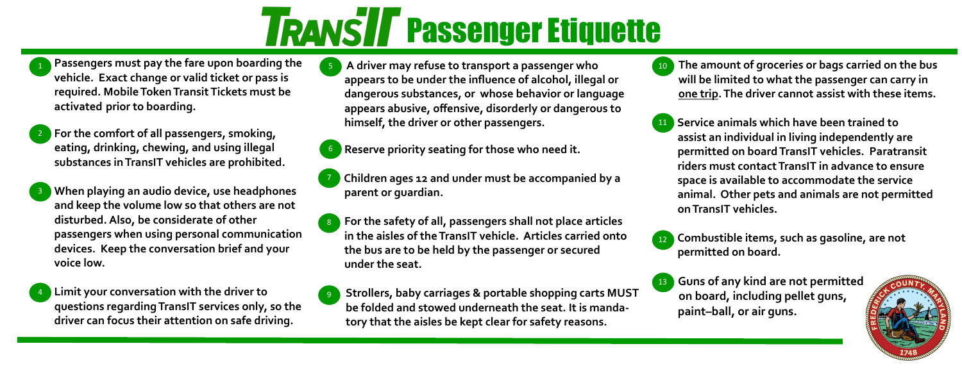# **TRANSIT Passenger Etiquette**

- **A driver may refuse to transport a passenger who appears to be under the influence of alcohol, illegal or dangerous substances, or whose behavior or language appears abusive, offensive, disorderly or dangerous to himself, the driver or other passengers.**
- 
- **Passengers must pay the fare upon boarding the vehicle. Exact change or valid ticket or pass is required. Mobile Token Transit Tickets must be activated prior to boarding.**  1
- **For the comfort of all passengers, smoking, eating, drinking, chewing, and using illegal substances in TransIT vehicles are prohibited.**  2
- **When playing an audio device, use headphones and keep the volume low so that others are not disturbed. Also, be considerate of other passengers when using personal communication devices. Keep the conversation brief and your voice low.** 3
- **Limit your conversation with the driver to questions regarding TransIT services only, so the driver can focus their attention on safe driving.** 4
- **Reserve priority seating for those who need it.** 6
- 7
	- **Children ages 12 and under must be accompanied by a parent or guardian.**
	- **For the safety of all, passengers shall not place articles in the aisles of the TransIT vehicle. Articles carried onto the bus are to be held by the passenger or secured under the seat.**  8
- 9
- **Strollers, baby carriages & portable shopping carts MUST be folded and stowed underneath the seat. It is mandatory that the aisles be kept clear for safety reasons.**
- **The amount of groceries or bags carried on the bus will be limited to what the passenger can carry in one trip. The driver cannot assist with these items.** 10
- **Service animals which have been trained to assist an individual in living independently are permitted on board TransIT vehicles. Paratransit riders must contact TransIT in advance to ensure space is available to accommodate the service animal. Other pets and animals are not permitted on TransIT vehicles.** 11
- **Combustible items, such as gasoline, are not permitted on board.** 12
- **Guns of any kind are not permitted on board, including pellet guns, paint–ball, or air guns.** 13



5